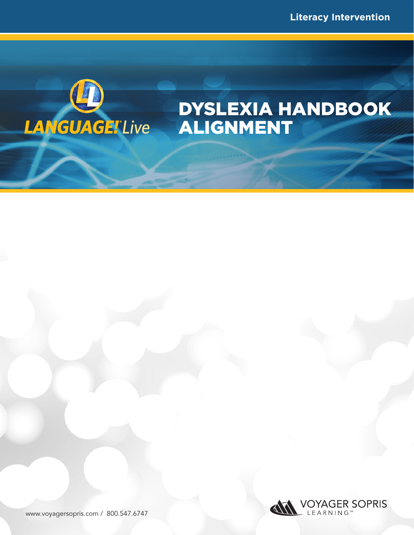

# DYSLEXIA HANDBOOK ALIGNMENT

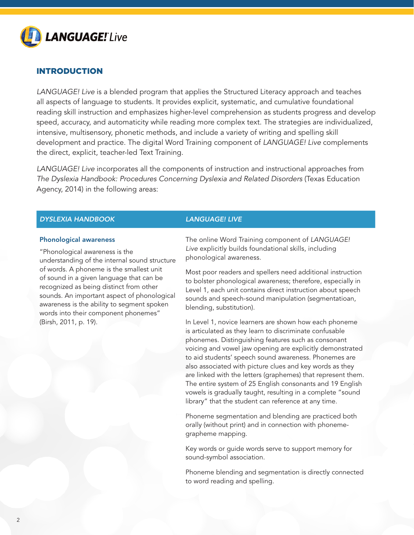

# INTRODUCTION

*LANGUAGE! Live* is a blended program that applies the Structured Literacy approach and teaches all aspects of language to students. It provides explicit, systematic, and cumulative foundational reading skill instruction and emphasizes higher-level comprehension as students progress and develop speed, accuracy, and automaticity while reading more complex text. The strategies are individualized, intensive, multisensory, phonetic methods, and include a variety of writing and spelling skill development and practice. The digital Word Training component of *LANGUAGE! Live* complements the direct, explicit, teacher-led Text Training.

*LANGUAGE! Live* incorporates all the components of instruction and instructional approaches from *The Dyslexia Handbook: Procedures Concerning Dyslexia and Related Disorders* (Texas Education Agency, 2014) in the following areas:

# *DYSLEXIA HANDBOOK LANGUAGE! LIVE*

### Phonological awareness

"Phonological awareness is the understanding of the internal sound structure of words. A phoneme is the smallest unit of sound in a given language that can be recognized as being distinct from other sounds. An important aspect of phonological awareness is the ability to segment spoken words into their component phonemes" (Birsh, 2011, p. 19).

The online Word Training component of *LANGUAGE! Live* explicitly builds foundational skills, including phonological awareness.

Most poor readers and spellers need additional instruction to bolster phonological awareness; therefore, especially in Level 1, each unit contains direct instruction about speech sounds and speech-sound manipulation (segmentatioan, blending, substitution).

In Level 1, novice learners are shown how each phoneme is articulated as they learn to discriminate confusable phonemes. Distinguishing features such as consonant voicing and vowel jaw opening are explicitly demonstrated to aid students' speech sound awareness. Phonemes are also associated with picture clues and key words as they are linked with the letters (graphemes) that represent them. The entire system of 25 English consonants and 19 English vowels is gradually taught, resulting in a complete "sound library" that the student can reference at any time.

Phoneme segmentation and blending are practiced both orally (without print) and in connection with phonemegrapheme mapping.

Key words or guide words serve to support memory for sound-symbol association.

Phoneme blending and segmentation is directly connected to word reading and spelling.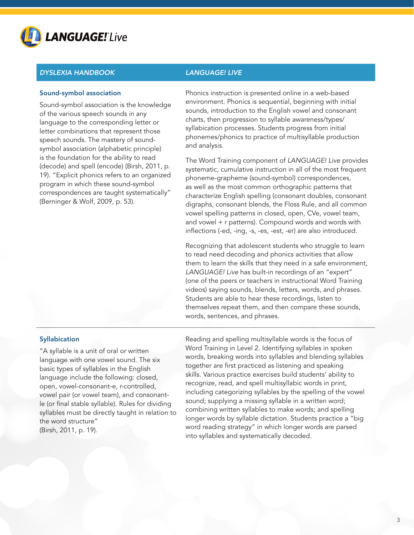

# Sound-symbol association

Sound-symbol association is the knowledge of the various speech sounds in any language to the corresponding letter or letter combinations that represent those speech sounds. The mastery of soundsymbol association (alphabetic principle) is the foundation for the ability to read (decode) and spell (encode) (Birsh, 2011, p. 19). "Explicit phonics refers to an organized program in which these sound-symbol correspondences are taught systematically" (Berninger & Wolf, 2009, p. 53).

Phonics instruction is presented online in a web-based environment. Phonics is sequential, beginning with initial sounds, introduction to the English vowel and consonant charts, then progression to syllable awareness/types/ syllabication processes. Students progress from initial phonemes/phonics to practice of multisyllable production and analysis.

The Word Training component of *LANGUAGE! Live* provides systematic, cumulative instruction in all of the most frequent phoneme-grapheme (sound-symbol) correspondences, as well as the most common orthographic patterns that characterize English spelling (consonant doubles, consonant digraphs, consonant blends, the Floss Rule, and all common vowel spelling patterns in closed, open, CVe, vowel team, and vowel + r patterns). Compound words and words with inflections (-ed, -ing, -s, -es, -est, -er) are also introduced.

Recognizing that adolescent students who struggle to learn to read need decoding and phonics activities that allow them to learn the skills that they need in a safe environment, *LANGUAGE! Live* has built-in recordings of an "expert" (one of the peers or teachers in instructional Word Training videos) saying sounds, blends, letters, words, and phrases. Students are able to hear these recordings, listen to themselves repeat them, and then compare these sounds, words, sentences, and phrases.

# **Syllabication**

"A syllable is a unit of oral or written language with one vowel sound. The six basic types of syllables in the English language include the following: closed, open, vowel-consonant-e, r-controlled, vowel pair (or vowel team), and consonantle (or final stable syllable). Rules for dividing syllables must be directly taught in relation to the word structure" (Birsh, 2011, p. 19).

Reading and spelling multisyllable words is the focus of Word Training in Level 2. Identifying syllables in spoken words, breaking words into syllables and blending syllables together are first practiced as listening and speaking skills. Various practice exercises build students' ability to recognize, read, and spell multisyllabic words in print, including categorizing syllables by the spelling of the vowel sound; supplying a missing syllable in a written word; combining written syllables to make words; and spelling longer words by syllable dictation. Students practice a "big word reading strategy" in which longer words are parsed into syllables and systematically decoded.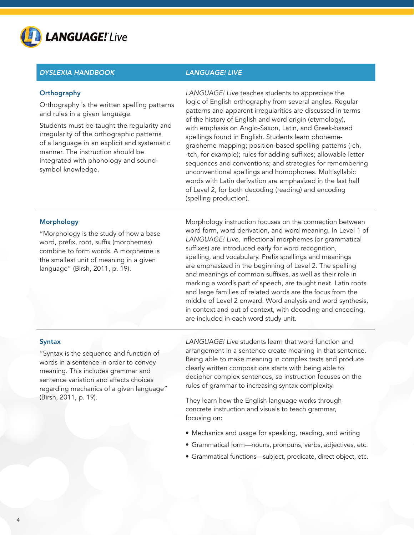

# **Orthography**

Orthography is the written spelling patterns and rules in a given language.

Students must be taught the regularity and irregularity of the orthographic patterns of a language in an explicit and systematic manner. The instruction should be integrated with phonology and soundsymbol knowledge.

*LANGUAGE! Live* teaches students to appreciate the logic of English orthography from several angles. Regular patterns and apparent irregularities are discussed in terms of the history of English and word origin (etymology), with emphasis on Anglo-Saxon, Latin, and Greek-based spellings found in English. Students learn phonemegrapheme mapping; position-based spelling patterns (-ch, -tch, for example); rules for adding suffixes; allowable letter sequences and conventions; and strategies for remembering unconventional spellings and homophones. Multisyllabic words with Latin derivation are emphasized in the last half of Level 2, for both decoding (reading) and encoding (spelling production).

### Morphology

"Morphology is the study of how a base word, prefix, root, suffix (morphemes) combine to form words. A morpheme is the smallest unit of meaning in a given language" (Birsh, 2011, p. 19).

Morphology instruction focuses on the connection between word form, word derivation, and word meaning. In Level 1 of *LANGUAGE! Live*, inflectional morphemes (or grammatical suffixes) are introduced early for word recognition, spelling, and vocabulary. Prefix spellings and meanings are emphasized in the beginning of Level 2. The spelling and meanings of common suffixes, as well as their role in marking a word's part of speech, are taught next. Latin roots and large families of related words are the focus from the middle of Level 2 onward. Word analysis and word synthesis, in context and out of context, with decoding and encoding, are included in each word study unit.

### **Syntax**

"Syntax is the sequence and function of words in a sentence in order to convey meaning. This includes grammar and sentence variation and affects choices regarding mechanics of a given language" (Birsh, 2011, p. 19).

*LANGUAGE! Live* students learn that word function and arrangement in a sentence create meaning in that sentence. Being able to make meaning in complex texts and produce clearly written compositions starts with being able to decipher complex sentences, so instruction focuses on the rules of grammar to increasing syntax complexity.

They learn how the English language works through concrete instruction and visuals to teach grammar, focusing on:

- Mechanics and usage for speaking, reading, and writing
- Grammatical form—nouns, pronouns, verbs, adjectives, etc.
- Grammatical functions—subject, predicate, direct object, etc.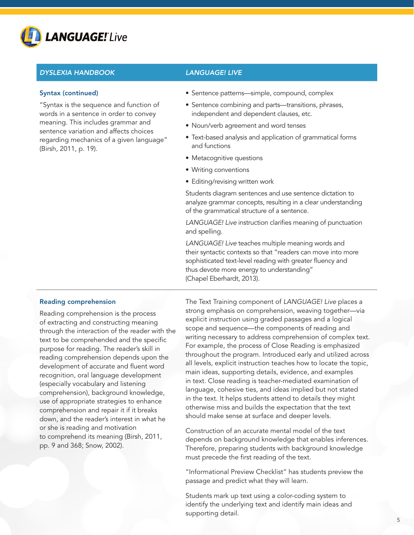

### Syntax (continued)

"Syntax is the sequence and function of words in a sentence in order to convey meaning. This includes grammar and sentence variation and affects choices regarding mechanics of a given language" (Birsh, 2011, p. 19).

- Sentence patterns—simple, compound, complex
- Sentence combining and parts—transitions, phrases, independent and dependent clauses, etc.
- Noun/verb agreement and word tenses
- Text-based analysis and application of grammatical forms and functions
- Metacognitive questions
- Writing conventions
- Editing/revising written work

Students diagram sentences and use sentence dictation to analyze grammar concepts, resulting in a clear understanding of the grammatical structure of a sentence.

*LANGUAGE! Live* instruction clarifies meaning of punctuation and spelling.

*LANGUAGE! Live* teaches multiple meaning words and their syntactic contexts so that "readers can move into more sophisticated text-level reading with greater fluency and thus devote more energy to understanding" (Chapel Eberhardt, 2013).

### Reading comprehension

Reading comprehension is the process of extracting and constructing meaning through the interaction of the reader with the text to be comprehended and the specific purpose for reading. The reader's skill in reading comprehension depends upon the development of accurate and fluent word recognition, oral language development (especially vocabulary and listening comprehension), background knowledge, use of appropriate strategies to enhance comprehension and repair it if it breaks down, and the reader's interest in what he or she is reading and motivation to comprehend its meaning (Birsh, 2011, pp. 9 and 368; Snow, 2002).

The Text Training component of *LANGUAGE! Live* places a strong emphasis on comprehension, weaving together—via explicit instruction using graded passages and a logical scope and sequence—the components of reading and writing necessary to address comprehension of complex text. For example, the process of Close Reading is emphasized throughout the program. Introduced early and utilized across all levels, explicit instruction teaches how to locate the topic, main ideas, supporting details, evidence, and examples in text. Close reading is teacher-mediated examination of language, cohesive ties, and ideas implied but not stated in the text. It helps students attend to details they might otherwise miss and builds the expectation that the text should make sense at surface and deeper levels.

Construction of an accurate mental model of the text depends on background knowledge that enables inferences. Therefore, preparing students with background knowledge must precede the first reading of the text.

"Informational Preview Checklist" has students preview the passage and predict what they will learn.

Students mark up text using a color-coding system to identify the underlying text and identify main ideas and supporting detail.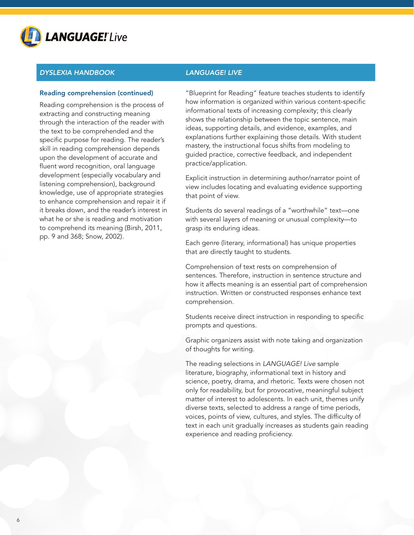

# Reading comprehension (continued)

Reading comprehension is the process of extracting and constructing meaning through the interaction of the reader with the text to be comprehended and the specific purpose for reading. The reader's skill in reading comprehension depends upon the development of accurate and fluent word recognition, oral language development (especially vocabulary and listening comprehension), background knowledge, use of appropriate strategies to enhance comprehension and repair it if it breaks down, and the reader's interest in what he or she is reading and motivation to comprehend its meaning (Birsh, 2011, pp. 9 and 368; Snow, 2002).

"Blueprint for Reading" feature teaches students to identify how information is organized within various content-specific informational texts of increasing complexity; this clearly shows the relationship between the topic sentence, main ideas, supporting details, and evidence, examples, and explanations further explaining those details. With student mastery, the instructional focus shifts from modeling to guided practice, corrective feedback, and independent practice/application.

Explicit instruction in determining author/narrator point of view includes locating and evaluating evidence supporting that point of view.

Students do several readings of a "worthwhile" text—one with several layers of meaning or unusual complexity—to grasp its enduring ideas.

Each genre (literary, informational) has unique properties that are directly taught to students.

Comprehension of text rests on comprehension of sentences. Therefore, instruction in sentence structure and how it affects meaning is an essential part of comprehension instruction. Written or constructed responses enhance text comprehension.

Students receive direct instruction in responding to specific prompts and questions.

Graphic organizers assist with note taking and organization of thoughts for writing.

The reading selections in *LANGUAGE! Live* sample literature, biography, informational text in history and science, poetry, drama, and rhetoric. Texts were chosen not only for readability, but for provocative, meaningful subject matter of interest to adolescents. In each unit, themes unify diverse texts, selected to address a range of time periods, voices, points of view, cultures, and styles. The difficulty of text in each unit gradually increases as students gain reading experience and reading proficiency.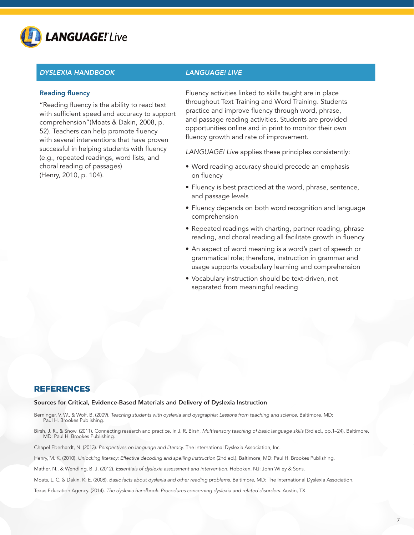

# Reading fluency

"Reading fluency is the ability to read text with sufficient speed and accuracy to support comprehension"(Moats & Dakin, 2008, p. 52). Teachers can help promote fluency with several interventions that have proven successful in helping students with fluency (e.g., repeated readings, word lists, and choral reading of passages) (Henry, 2010, p. 104).

Fluency activities linked to skills taught are in place throughout Text Training and Word Training. Students practice and improve fluency through word, phrase, and passage reading activities. Students are provided opportunities online and in print to monitor their own fluency growth and rate of improvement.

*LANGUAGE! Live* applies these principles consistently:

- Word reading accuracy should precede an emphasis on fluency
- Fluency is best practiced at the word, phrase, sentence, and passage levels
- Fluency depends on both word recognition and language comprehension
- Repeated readings with charting, partner reading, phrase reading, and choral reading all facilitate growth in fluency
- An aspect of word meaning is a word's part of speech or grammatical role; therefore, instruction in grammar and usage supports vocabulary learning and comprehension
- Vocabulary instruction should be text-driven, not separated from meaningful reading

# REFERENCES

### Sources for Critical, Evidence-Based Materials and Delivery of Dyslexia Instruction

- Berninger, V. W., & Wolf, B. (2009). *Teaching students with dyslexia and dysgraphia: Lessons from teaching and science*. Baltimore, MD: Paul H. Brookes Publishing.
- Birsh, J. R., & Snow. (2011). Connecting research and practice. In J. R. Birsh, *Multisensory teaching of basic language skills* (3rd ed., pp.1–24). Baltimore, MD: Paul H. Brookes Publishing.

Chapel Eberhardt, N. (2013). *Perspectives on language and literacy*. The International Dyslexia Association, Inc.

Henry, M. K. (2010). *Unlocking literacy: Effective decoding and spelling instruction* (2nd ed.). Baltimore, MD: Paul H. Brookes Publishing.

Mather, N., & Wendling, B. J. (2012). *Essentials of dyslexia assessment and intervention*. Hoboken, NJ: John Wiley & Sons.

Moats, L. C, & Dakin, K. E. (2008). *Basic facts about dyslexia and other reading problems*. Baltimore, MD: The International Dyslexia Association.

Texas Education Agency. (2014). *The dyslexia handbook: Procedures concerning dyslexia and related disorders*. Austin, TX.